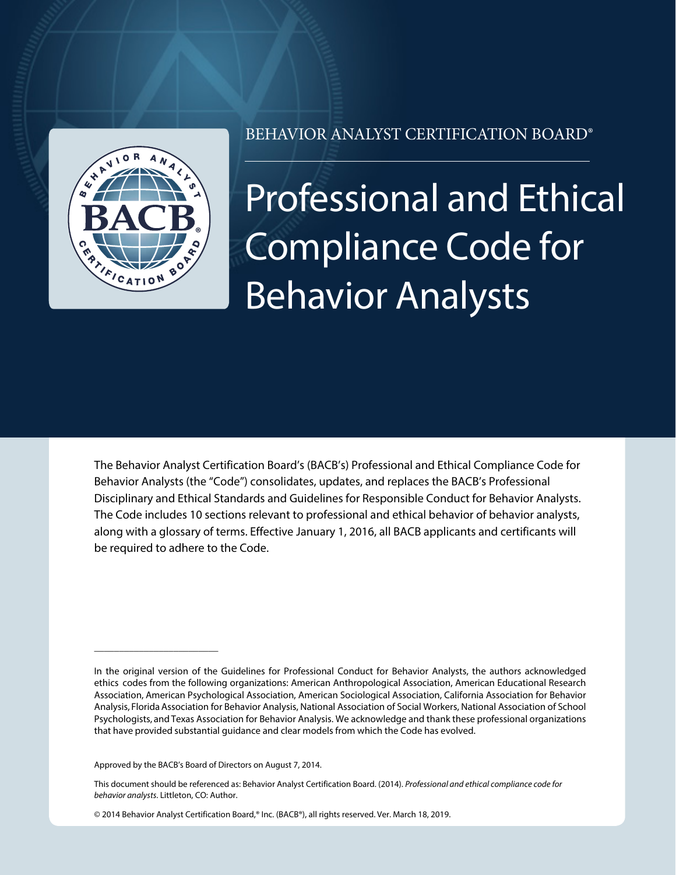

### BEHAVIOR ANALYST CERTIFICATION BOARD®

# Professional and Ethical Compliance Code for Behavior Analysts

The Behavior Analyst Certification Board's (BACB's) Professional and Ethical Compliance Code for Behavior Analysts (the "Code") consolidates, updates, and replaces the BACB's Professional Disciplinary and Ethical Standards and Guidelines for Responsible Conduct for Behavior Analysts. The Code includes 10 sections relevant to professional and ethical behavior of behavior analysts, along with a glossary of terms. Effective January 1, 2016, all BACB applicants and certificants will be required to adhere to the Code.

Approved by the BACB's Board of Directors on August 7, 2014.

\_\_\_\_\_\_\_\_\_\_\_\_\_\_\_\_\_\_\_\_\_\_\_\_\_

This document should be referenced as: Behavior Analyst Certification Board. (2014). Professional and ethical compliance code for behavior analysts. Littleton, CO: Author.

© 2014 Behavior Analyst Certification Board,® Inc. (BACB®), all rights reserved. Ver. March 18, 2019.

In the original version of the Guidelines for Professional Conduct for Behavior Analysts, the authors acknowledged ethics codes from the following organizations: American Anthropological Association, American Educational Research Association, American Psychological Association, American Sociological Association, California Association for Behavior Analysis, Florida Association for Behavior Analysis, National Association of Social Workers, National Association of School Psychologists, and Texas Association for Behavior Analysis. We acknowledge and thank these professional organizations that have provided substantial guidance and clear models from which the Code has evolved.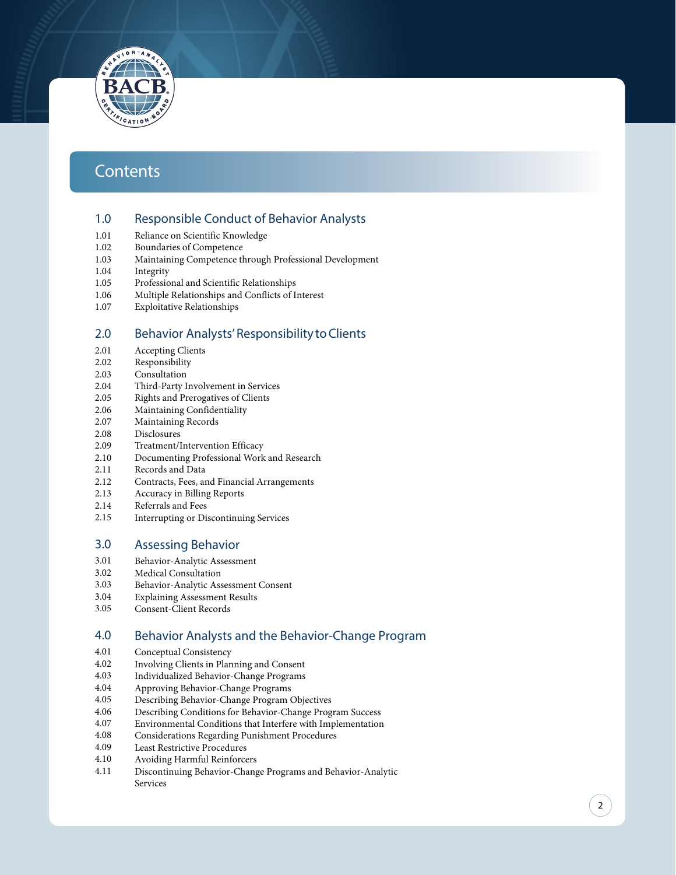

# **Contents**

#### 1.0 Responsible Conduct of Behavior Analysts

- 1.01 Reliance on Scientific Knowledge
- 1.02 Boundaries of Competence
- 1.03 Maintaining Competence through Professional Development
- 1.04 Integrity
- 1.05 Professional and Scientific Relationships
- 1.06 Multiple Relationships and Conflicts of Interest
- 1.07 Exploitative Relationships

#### 2.0 Behavior Analysts' Responsibility to Clients

- 2.01 Accepting Clients
- 2.02 Responsibility
- 2.03 Consultation
- 2.04 Third-Party Involvement in Services
- 2.05 Rights and Prerogatives of Clients
- 2.06 Maintaining Confidentiality
- 2.07 Maintaining Records
- 2.08 Disclosures
- 2.09 Treatment/Intervention Efficacy
- 2.10 Documenting Professional Work and Research
- 2.11 Records and Data
- 2.12 Contracts, Fees, and Financial Arrangements
- 2.13 Accuracy in Billing Reports
- 2.14 Referrals and Fees
- 2.15 Interrupting or Discontinuing Services

#### 3.0 Assessing Behavior

- 3.01 Behavior-Analytic Assessment
- 3.02 Medical Consultation
- 3.03 Behavior-Analytic Assessment Consent
- 3.04 Explaining Assessment Results
- 3.05 Consent-Client Records

#### 4.0 Behavior Analysts and the Behavior-Change Program

- 4.01 Conceptual Consistency
- 4.02 Involving Clients in Planning and Consent
- 4.03 Individualized Behavior-Change Programs
- 4.04 Approving Behavior-Change Programs
- 4.05 Describing Behavior-Change Program Objectives
- 4.06 Describing Conditions for Behavior-Change Program Success
- 4.07 Environmental Conditions that Interfere with Implementation
- 4.08 Considerations Regarding Punishment Procedures
- 4.09 Least Restrictive Procedures
- 4.10 Avoiding Harmful Reinforcers
- 4.11 Discontinuing Behavior-Change Programs and Behavior-Analytic Services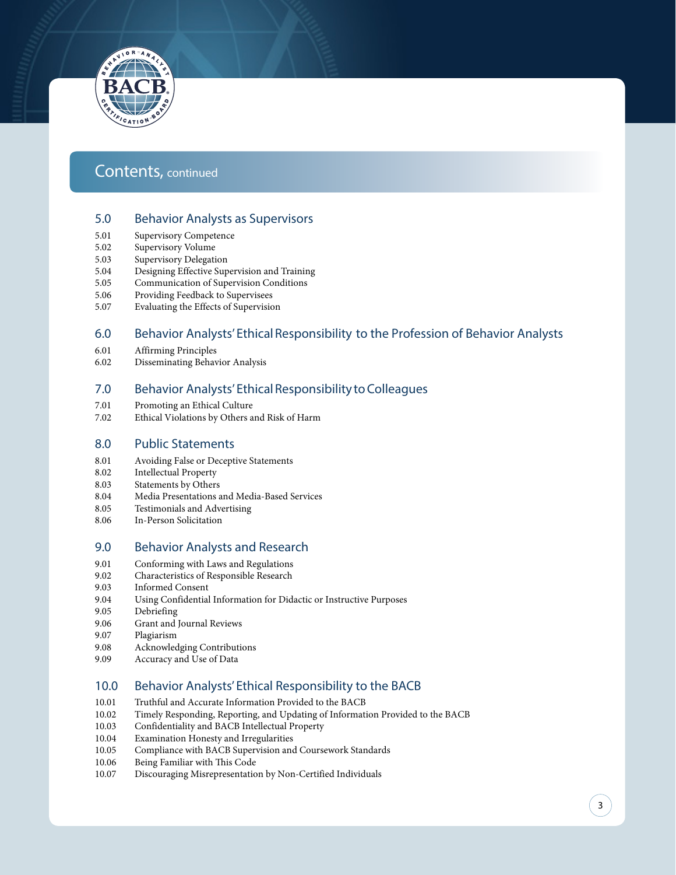

### Contents, continued

#### 5.0 Behavior Analysts as Supervisors

- 5.01 Supervisory Competence
- 5.02 Supervisory Volume
- 5.03 Supervisory Delegation
- 5.04 Designing Effective Supervision and Training
- 5.05 Communication of Supervision Conditions
- 5.06 Providing Feedback to Supervisees
- 5.07 Evaluating the Effects of Supervision

#### 6.0 Behavior Analysts' Ethical Responsibility to the Profession of Behavior Analysts

- 6.01 Affirming Principles
- 6.02 Disseminating Behavior Analysis

#### 7.0 Behavior Analysts' Ethical Responsibility to Colleagues

- 7.01 Promoting an Ethical Culture
- 7.02 Ethical Violations by Others and Risk of Harm

#### 8.0 Public Statements

- 8.01 Avoiding False or Deceptive Statements
- 8.02 Intellectual Property
- 8.03 Statements by Others
- 8.04 Media Presentations and Media-Based Services
- 8.05 Testimonials and Advertising
- 8.06 In-Person Solicitation

#### 9.0 Behavior Analysts and Research

- 9.01 Conforming with Laws and Regulations
- 9.02 Characteristics of Responsible Research
- 9.03 Informed Consent
- 9.04 Using Confidential Information for Didactic or Instructive Purposes
- 9.05 Debriefing
- 9.06 Grant and Journal Reviews
- 9.07 Plagiarism
- 9.08 Acknowledging Contributions
- 9.09 Accuracy and Use of Data

#### 10.0 Behavior Analysts' Ethical Responsibility to the BACB

- 10.01 Truthful and Accurate Information Provided to the BACB
- 10.02 Timely Responding, Reporting, and Updating of Information Provided to the BACB
- 10.03 Confidentiality and BACB Intellectual Property
- 10.04 Examination Honesty and Irregularities
- 10.05 Compliance with BACB Supervision and Coursework Standards
- 10.06 Being Familiar with This Code
- 10.07 Discouraging Misrepresentation by Non-Certified Individuals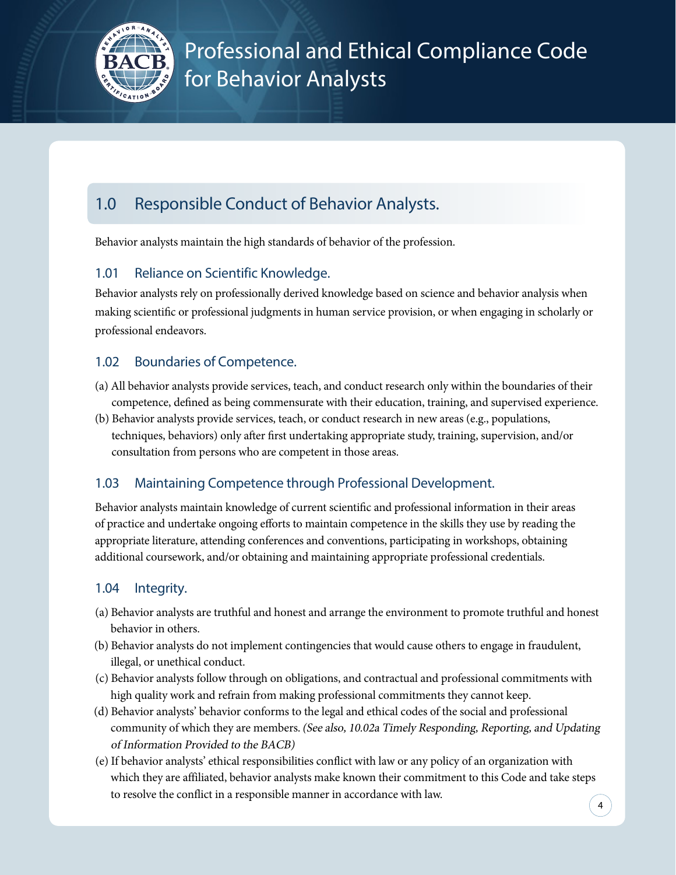

# 1.0 Responsible Conduct of Behavior Analysts.

Behavior analysts maintain the high standards of behavior of the profession.

#### 1.01 Reliance on Scientific Knowledge.

Behavior analysts rely on professionally derived knowledge based on science and behavior analysis when making scientific or professional judgments in human service provision, or when engaging in scholarly or professional endeavors.

#### 1.02 Boundaries of Competence.

- (a) All behavior analysts provide services, teach, and conduct research only within the boundaries of their competence, defined as being commensurate with their education, training, and supervised experience.
- (b) Behavior analysts provide services, teach, or conduct research in new areas (e.g., populations, techniques, behaviors) only after first undertaking appropriate study, training, supervision, and/or consultation from persons who are competent in those areas.

#### 1.03 Maintaining Competence through Professional Development.

Behavior analysts maintain knowledge of current scientific and professional information in their areas of practice and undertake ongoing efforts to maintain competence in the skills they use by reading the appropriate literature, attending conferences and conventions, participating in workshops, obtaining additional coursework, and/or obtaining and maintaining appropriate professional credentials.

#### 1.04 Integrity.

- (a) Behavior analysts are truthful and honest and arrange the environment to promote truthful and honest behavior in others.
- (b) Behavior analysts do not implement contingencies that would cause others to engage in fraudulent, illegal, or unethical conduct.
- (c) Behavior analysts follow through on obligations, and contractual and professional commitments with high quality work and refrain from making professional commitments they cannot keep.
- (d) Behavior analysts' behavior conforms to the legal and ethical codes of the social and professional community of which they are members. (See also, 10.02a Timely Responding, Reporting, and Updating of Information Provided to the BACB)
- (e) If behavior analysts' ethical responsibilities conflict with law or any policy of an organization with which they are affiliated, behavior analysts make known their commitment to this Code and take steps to resolve the conflict in a responsible manner in accordance with law.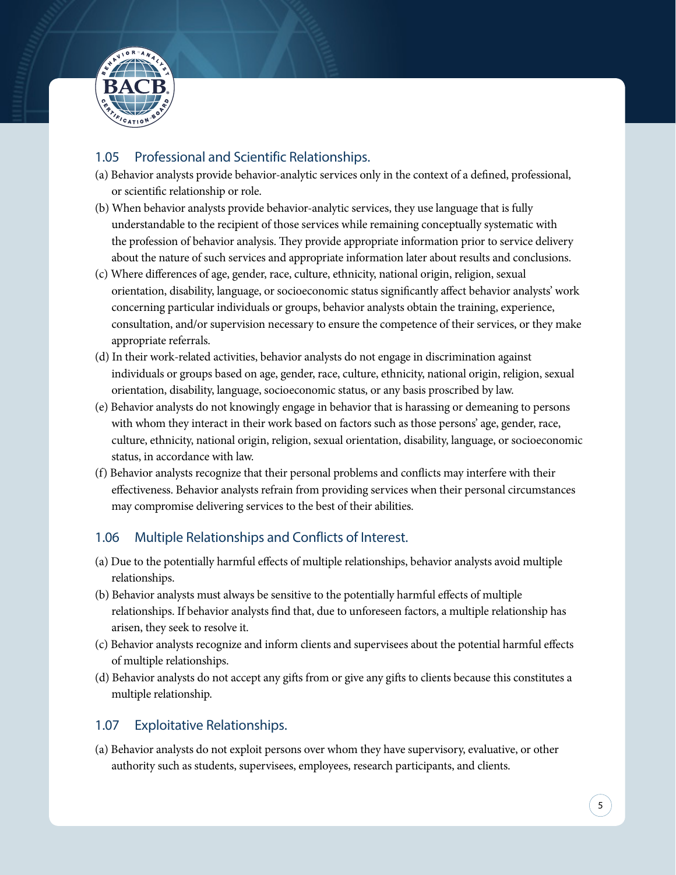

### 1.05 Professional and Scientific Relationships.

- (a) Behavior analysts provide behavior-analytic services only in the context of a defined, professional, or scientific relationship or role.
- (b) When behavior analysts provide behavior-analytic services, they use language that is fully understandable to the recipient of those services while remaining conceptually systematic with the profession of behavior analysis. They provide appropriate information prior to service delivery about the nature of such services and appropriate information later about results and conclusions.
- (c) Where differences of age, gender, race, culture, ethnicity, national origin, religion, sexual orientation, disability, language, or socioeconomic status significantly affect behavior analysts' work concerning particular individuals or groups, behavior analysts obtain the training, experience, consultation, and/or supervision necessary to ensure the competence of their services, or they make appropriate referrals.
- (d) In their work-related activities, behavior analysts do not engage in discrimination against individuals or groups based on age, gender, race, culture, ethnicity, national origin, religion, sexual orientation, disability, language, socioeconomic status, or any basis proscribed by law.
- (e) Behavior analysts do not knowingly engage in behavior that is harassing or demeaning to persons with whom they interact in their work based on factors such as those persons' age, gender, race, culture, ethnicity, national origin, religion, sexual orientation, disability, language, or socioeconomic status, in accordance with law.
- (f) Behavior analysts recognize that their personal problems and conflicts may interfere with their effectiveness. Behavior analysts refrain from providing services when their personal circumstances may compromise delivering services to the best of their abilities.

### 1.06 Multiple Relationships and Conflicts of Interest.

- (a) Due to the potentially harmful effects of multiple relationships, behavior analysts avoid multiple relationships.
- (b) Behavior analysts must always be sensitive to the potentially harmful effects of multiple relationships. If behavior analysts find that, due to unforeseen factors, a multiple relationship has arisen, they seek to resolve it.
- (c) Behavior analysts recognize and inform clients and supervisees about the potential harmful effects of multiple relationships.
- (d) Behavior analysts do not accept any gifts from or give any gifts to clients because this constitutes a multiple relationship.

### 1.07 Exploitative Relationships.

(a) Behavior analysts do not exploit persons over whom they have supervisory, evaluative, or other authority such as students, supervisees, employees, research participants, and clients.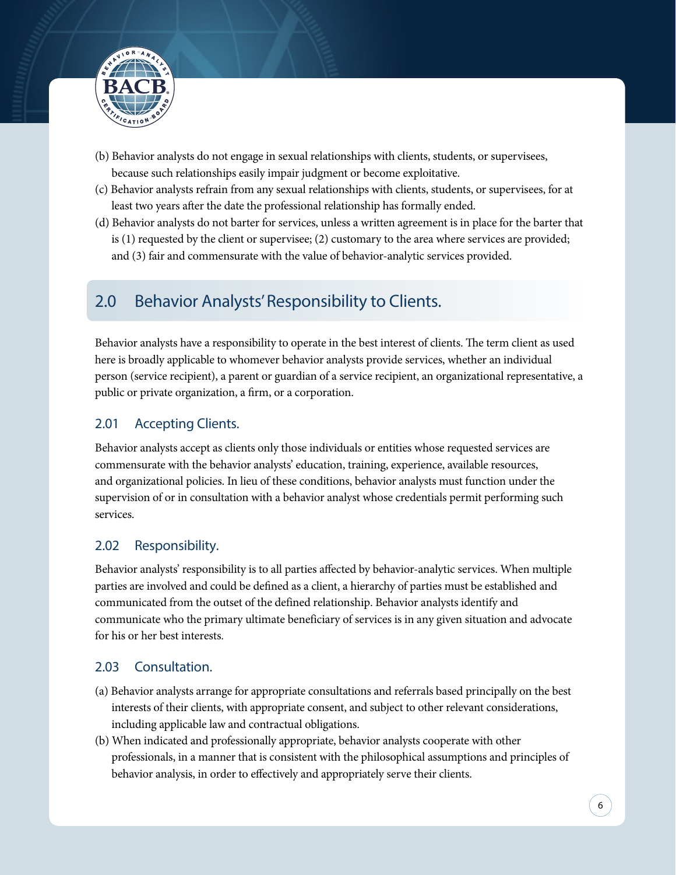

- (b) Behavior analysts do not engage in sexual relationships with clients, students, or supervisees, because such relationships easily impair judgment or become exploitative.
- (c) Behavior analysts refrain from any sexual relationships with clients, students, or supervisees, for at least two years after the date the professional relationship has formally ended.
- (d) Behavior analysts do not barter for services, unless a written agreement is in place for the barter that is (1) requested by the client or supervisee; (2) customary to the area where services are provided; and (3) fair and commensurate with the value of behavior-analytic services provided.

# 2.0 Behavior Analysts' Responsibility to Clients.

Behavior analysts have a responsibility to operate in the best interest of clients. The term client as used here is broadly applicable to whomever behavior analysts provide services, whether an individual person (service recipient), a parent or guardian of a service recipient, an organizational representative, a public or private organization, a firm, or a corporation.

#### 2.01 Accepting Clients.

Behavior analysts accept as clients only those individuals or entities whose requested services are commensurate with the behavior analysts' education, training, experience, available resources, and organizational policies. In lieu of these conditions, behavior analysts must function under the supervision of or in consultation with a behavior analyst whose credentials permit performing such services.

### 2.02 Responsibility.

Behavior analysts' responsibility is to all parties affected by behavior-analytic services. When multiple parties are involved and could be defined as a client, a hierarchy of parties must be established and communicated from the outset of the defined relationship. Behavior analysts identify and communicate who the primary ultimate beneficiary of services is in any given situation and advocate for his or her best interests.

#### 2.03 Consultation.

- (a) Behavior analysts arrange for appropriate consultations and referrals based principally on the best interests of their clients, with appropriate consent, and subject to other relevant considerations, including applicable law and contractual obligations.
- (b) When indicated and professionally appropriate, behavior analysts cooperate with other professionals, in a manner that is consistent with the philosophical assumptions and principles of behavior analysis, in order to effectively and appropriately serve their clients.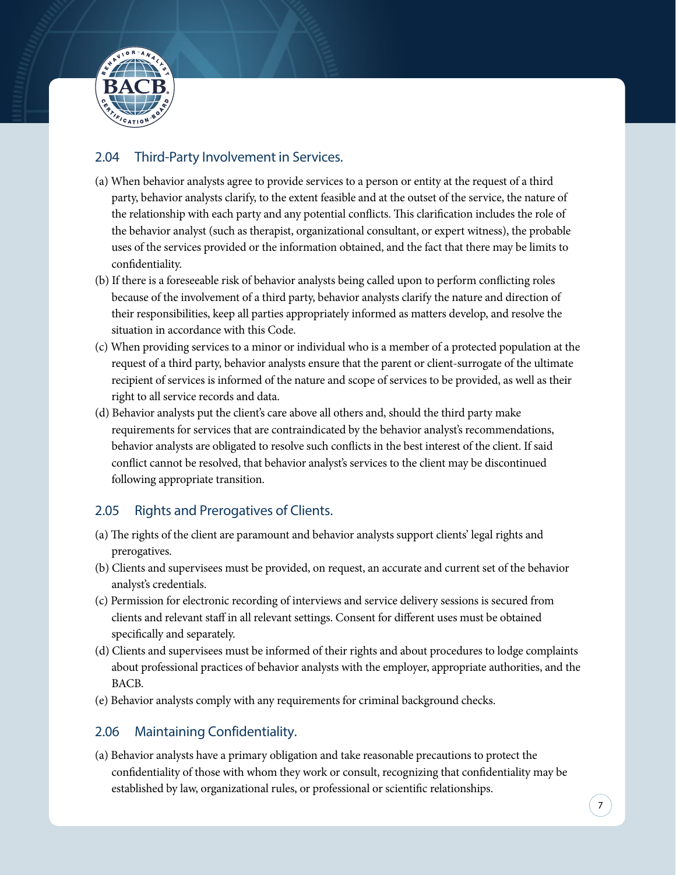

### 2.04 Third-Party Involvement in Services.

- (a) When behavior analysts agree to provide services to a person or entity at the request of a third party, behavior analysts clarify, to the extent feasible and at the outset of the service, the nature of the relationship with each party and any potential conflicts. This clarification includes the role of the behavior analyst (such as therapist, organizational consultant, or expert witness), the probable uses of the services provided or the information obtained, and the fact that there may be limits to confidentiality.
- (b) If there is a foreseeable risk of behavior analysts being called upon to perform conflicting roles because of the involvement of a third party, behavior analysts clarify the nature and direction of their responsibilities, keep all parties appropriately informed as matters develop, and resolve the situation in accordance with this Code.
- (c) When providing services to a minor or individual who is a member of a protected population at the request of a third party, behavior analysts ensure that the parent or client-surrogate of the ultimate recipient of services is informed of the nature and scope of services to be provided, as well as their right to all service records and data.
- (d) Behavior analysts put the client's care above all others and, should the third party make requirements for services that are contraindicated by the behavior analyst's recommendations, behavior analysts are obligated to resolve such conflicts in the best interest of the client. If said conflict cannot be resolved, that behavior analyst's services to the client may be discontinued following appropriate transition.

### 2.05 Rights and Prerogatives of Clients.

- (a) The rights of the client are paramount and behavior analysts support clients' legal rights and prerogatives.
- (b) Clients and supervisees must be provided, on request, an accurate and current set of the behavior analyst's credentials.
- (c) Permission for electronic recording of interviews and service delivery sessions is secured from clients and relevant staff in all relevant settings. Consent for different uses must be obtained specifically and separately.
- (d) Clients and supervisees must be informed of their rights and about procedures to lodge complaints about professional practices of behavior analysts with the employer, appropriate authorities, and the BACB.
- (e) Behavior analysts comply with any requirements for criminal background checks.

#### 2.06 Maintaining Confidentiality.

(a) Behavior analysts have a primary obligation and take reasonable precautions to protect the confidentiality of those with whom they work or consult, recognizing that confidentiality may be established by law, organizational rules, or professional or scientific relationships.

7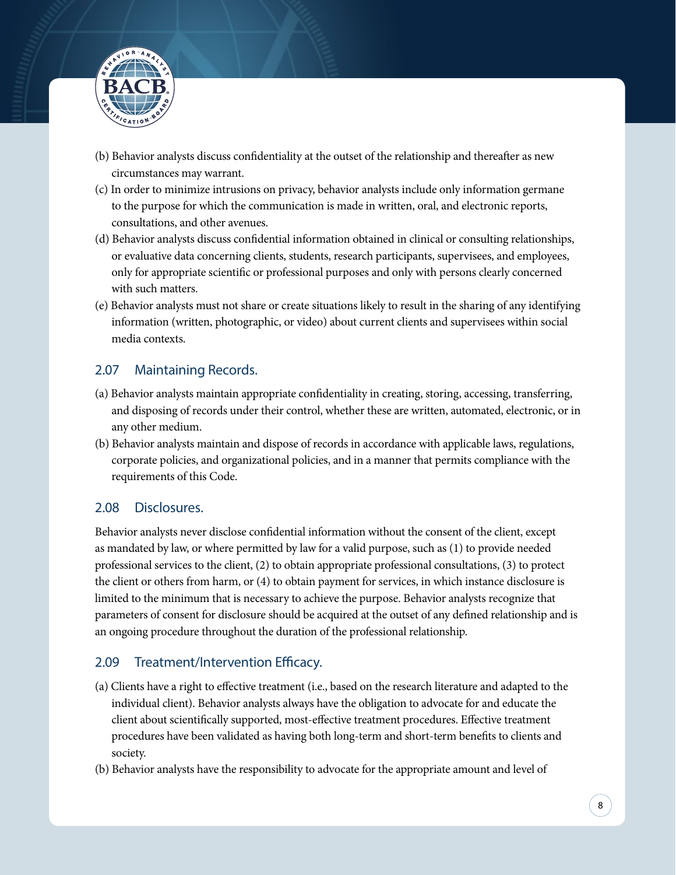

- (b) Behavior analysts discuss confidentiality at the outset of the relationship and thereafter as new circumstances may warrant.
- (c) In order to minimize intrusions on privacy, behavior analysts include only information germane to the purpose for which the communication is made in written, oral, and electronic reports, consultations, and other avenues.
- (d) Behavior analysts discuss confidential information obtained in clinical or consulting relationships, or evaluative data concerning clients, students, research participants, supervisees, and employees, only for appropriate scientific or professional purposes and only with persons clearly concerned with such matters.
- (e) Behavior analysts must not share or create situations likely to result in the sharing of any identifying information (written, photographic, or video) about current clients and supervisees within social media contexts.

#### 2.07 Maintaining Records.

- (a) Behavior analysts maintain appropriate confidentiality in creating, storing, accessing, transferring, and disposing of records under their control, whether these are written, automated, electronic, or in any other medium.
- (b) Behavior analysts maintain and dispose of records in accordance with applicable laws, regulations, corporate policies, and organizational policies, and in a manner that permits compliance with the requirements of this Code.

#### 2.08 Disclosures.

Behavior analysts never disclose confidential information without the consent of the client, except as mandated by law, or where permitted by law for a valid purpose, such as (1) to provide needed professional services to the client, (2) to obtain appropriate professional consultations, (3) to protect the client or others from harm, or (4) to obtain payment for services, in which instance disclosure is limited to the minimum that is necessary to achieve the purpose. Behavior analysts recognize that parameters of consent for disclosure should be acquired at the outset of any defined relationship and is an ongoing procedure throughout the duration of the professional relationship.

#### 2.09 Treatment/Intervention Efficacy.

- (a) Clients have a right to effective treatment (i.e., based on the research literature and adapted to the individual client). Behavior analysts always have the obligation to advocate for and educate the client about scientifically supported, most-effective treatment procedures. Effective treatment procedures have been validated as having both long-term and short-term benefits to clients and society.
- (b) Behavior analysts have the responsibility to advocate for the appropriate amount and level of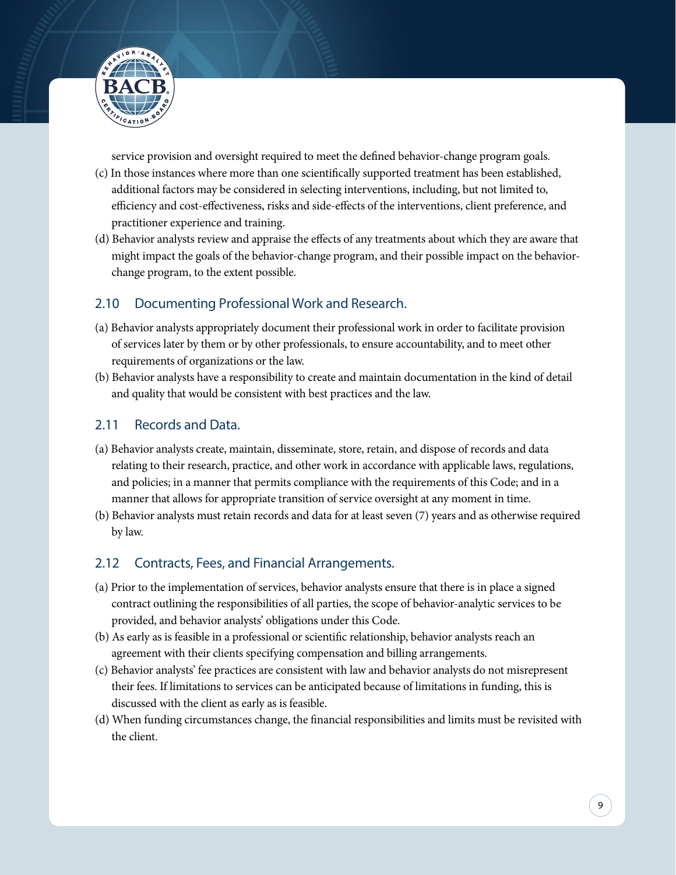

service provision and oversight required to meet the defined behavior-change program goals.

- (c) In those instances where more than one scientifically supported treatment has been established, additional factors may be considered in selecting interventions, including, but not limited to, efficiency and cost-effectiveness, risks and side-effects of the interventions, client preference, and practitioner experience and training.
- (d) Behavior analysts review and appraise the effects of any treatments about which they are aware that might impact the goals of the behavior-change program, and their possible impact on the behaviorchange program, to the extent possible.

### 2.10 Documenting Professional Work and Research.

- (a) Behavior analysts appropriately document their professional work in order to facilitate provision of services later by them or by other professionals, to ensure accountability, and to meet other requirements of organizations or the law.
- (b) Behavior analysts have a responsibility to create and maintain documentation in the kind of detail and quality that would be consistent with best practices and the law.

### 2.11 Records and Data.

- (a) Behavior analysts create, maintain, disseminate, store, retain, and dispose of records and data relating to their research, practice, and other work in accordance with applicable laws, regulations, and policies; in a manner that permits compliance with the requirements of this Code; and in a manner that allows for appropriate transition of service oversight at any moment in time.
- (b) Behavior analysts must retain records and data for at least seven (7) years and as otherwise required by law.

### 2.12 Contracts, Fees, and Financial Arrangements.

- (a) Prior to the implementation of services, behavior analysts ensure that there is in place a signed contract outlining the responsibilities of all parties, the scope of behavior-analytic services to be provided, and behavior analysts' obligations under this Code.
- (b) As early as is feasible in a professional or scientific relationship, behavior analysts reach an agreement with their clients specifying compensation and billing arrangements.
- (c) Behavior analysts' fee practices are consistent with law and behavior analysts do not misrepresent their fees. If limitations to services can be anticipated because of limitations in funding, this is discussed with the client as early as is feasible.
- (d) When funding circumstances change, the financial responsibilities and limits must be revisited with the client.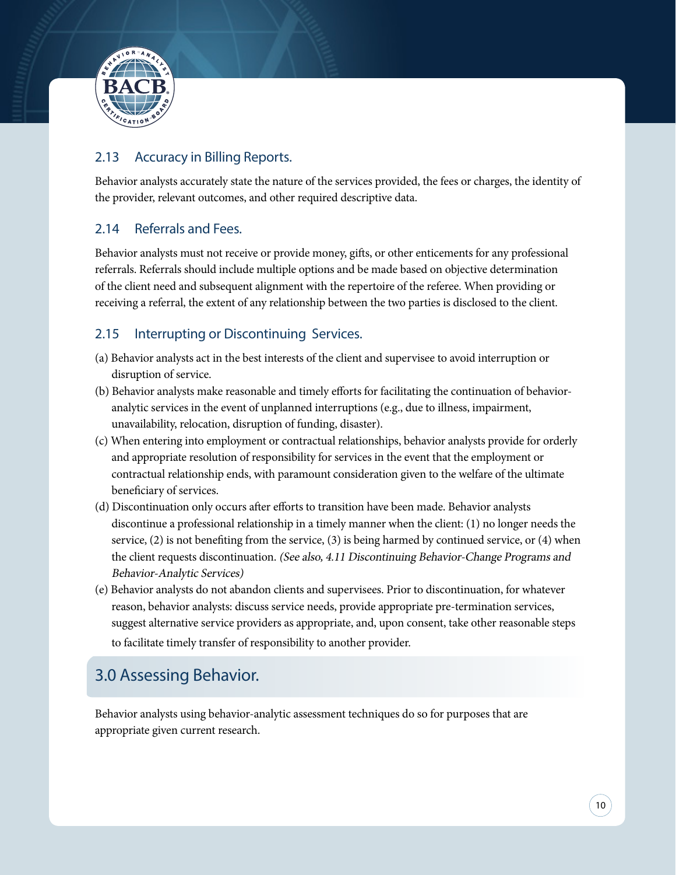

### 2.13 Accuracy in Billing Reports.

Behavior analysts accurately state the nature of the services provided, the fees or charges, the identity of the provider, relevant outcomes, and other required descriptive data.

#### 2.14 Referrals and Fees.

Behavior analysts must not receive or provide money, gifts, or other enticements for any professional referrals. Referrals should include multiple options and be made based on objective determination of the client need and subsequent alignment with the repertoire of the referee. When providing or receiving a referral, the extent of any relationship between the two parties is disclosed to the client.

### 2.15 Interrupting or Discontinuing Services.

- (a) Behavior analysts act in the best interests of the client and supervisee to avoid interruption or disruption of service.
- (b) Behavior analysts make reasonable and timely efforts for facilitating the continuation of behavioranalytic services in the event of unplanned interruptions (e.g., due to illness, impairment, unavailability, relocation, disruption of funding, disaster).
- (c) When entering into employment or contractual relationships, behavior analysts provide for orderly and appropriate resolution of responsibility for services in the event that the employment or contractual relationship ends, with paramount consideration given to the welfare of the ultimate beneficiary of services.
- (d) Discontinuation only occurs after efforts to transition have been made. Behavior analysts discontinue a professional relationship in a timely manner when the client: (1) no longer needs the service, (2) is not benefiting from the service, (3) is being harmed by continued service, or (4) when the client requests discontinuation. (See also, 4.11 Discontinuing Behavior-Change Programs and Behavior-Analytic Services)
- (e) Behavior analysts do not abandon clients and supervisees. Prior to discontinuation, for whatever reason, behavior analysts: discuss service needs, provide appropriate pre-termination services, suggest alternative service providers as appropriate, and, upon consent, take other reasonable steps to facilitate timely transfer of responsibility to another provider.

# 3.0 Assessing Behavior.

Behavior analysts using behavior-analytic assessment techniques do so for purposes that are appropriate given current research.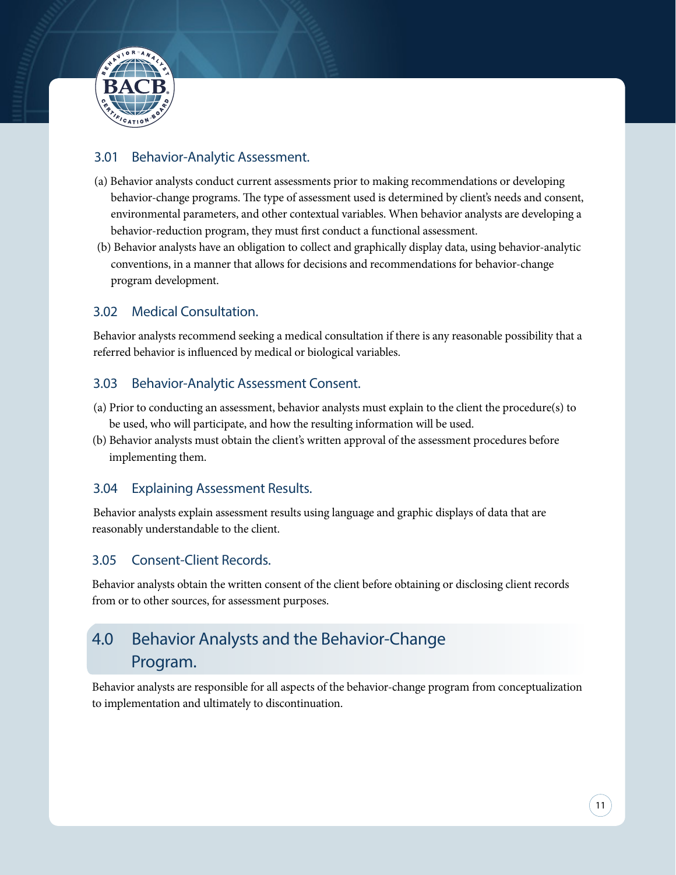

#### 3.01 Behavior-Analytic Assessment.

- (a) Behavior analysts conduct current assessments prior to making recommendations or developing behavior-change programs. The type of assessment used is determined by client's needs and consent, environmental parameters, and other contextual variables. When behavior analysts are developing a behavior-reduction program, they must first conduct a functional assessment.
- (b) Behavior analysts have an obligation to collect and graphically display data, using behavior-analytic conventions, in a manner that allows for decisions and recommendations for behavior-change program development.

#### 3.02 Medical Consultation.

Behavior analysts recommend seeking a medical consultation if there is any reasonable possibility that a referred behavior is influenced by medical or biological variables.

#### 3.03 Behavior-Analytic Assessment Consent.

- (a) Prior to conducting an assessment, behavior analysts must explain to the client the procedure(s) to be used, who will participate, and how the resulting information will be used.
- (b) Behavior analysts must obtain the client's written approval of the assessment procedures before implementing them.

#### 3.04 Explaining Assessment Results.

Behavior analysts explain assessment results using language and graphic displays of data that are reasonably understandable to the client.

#### 3.05 Consent-Client Records.

Behavior analysts obtain the written consent of the client before obtaining or disclosing client records from or to other sources, for assessment purposes.

# 4.0 Behavior Analysts and the Behavior-Change Program.

Behavior analysts are responsible for all aspects of the behavior-change program from conceptualization to implementation and ultimately to discontinuation.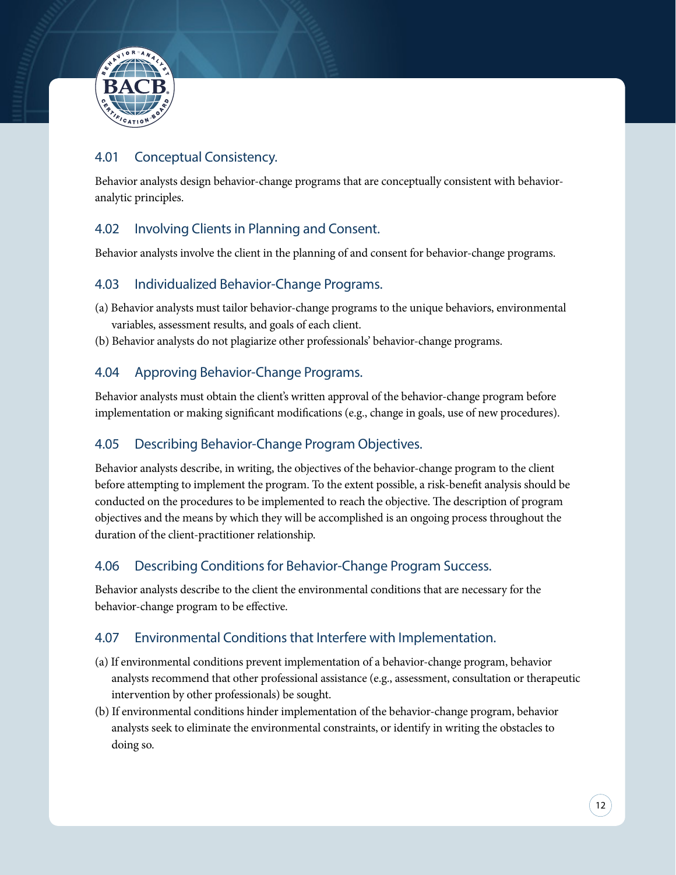

### 4.01 Conceptual Consistency.

Behavior analysts design behavior-change programs that are conceptually consistent with behavioranalytic principles.

### 4.02 Involving Clients in Planning and Consent.

Behavior analysts involve the client in the planning of and consent for behavior-change programs.

#### 4.03 Individualized Behavior-Change Programs.

- (a) Behavior analysts must tailor behavior-change programs to the unique behaviors, environmental variables, assessment results, and goals of each client.
- (b) Behavior analysts do not plagiarize other professionals' behavior-change programs.

#### 4.04 Approving Behavior-Change Programs.

Behavior analysts must obtain the client's written approval of the behavior-change program before implementation or making significant modifications (e.g., change in goals, use of new procedures).

#### 4.05 Describing Behavior-Change Program Objectives.

Behavior analysts describe, in writing, the objectives of the behavior-change program to the client before attempting to implement the program. To the extent possible, a risk-benefit analysis should be conducted on the procedures to be implemented to reach the objective. The description of program objectives and the means by which they will be accomplished is an ongoing process throughout the duration of the client-practitioner relationship.

#### 4.06 Describing Conditions for Behavior-Change Program Success.

Behavior analysts describe to the client the environmental conditions that are necessary for the behavior-change program to be effective.

### 4.07 Environmental Conditions that Interfere with Implementation.

- (a) If environmental conditions prevent implementation of a behavior-change program, behavior analysts recommend that other professional assistance (e.g., assessment, consultation or therapeutic intervention by other professionals) be sought.
- (b) If environmental conditions hinder implementation of the behavior-change program, behavior analysts seek to eliminate the environmental constraints, or identify in writing the obstacles to doing so.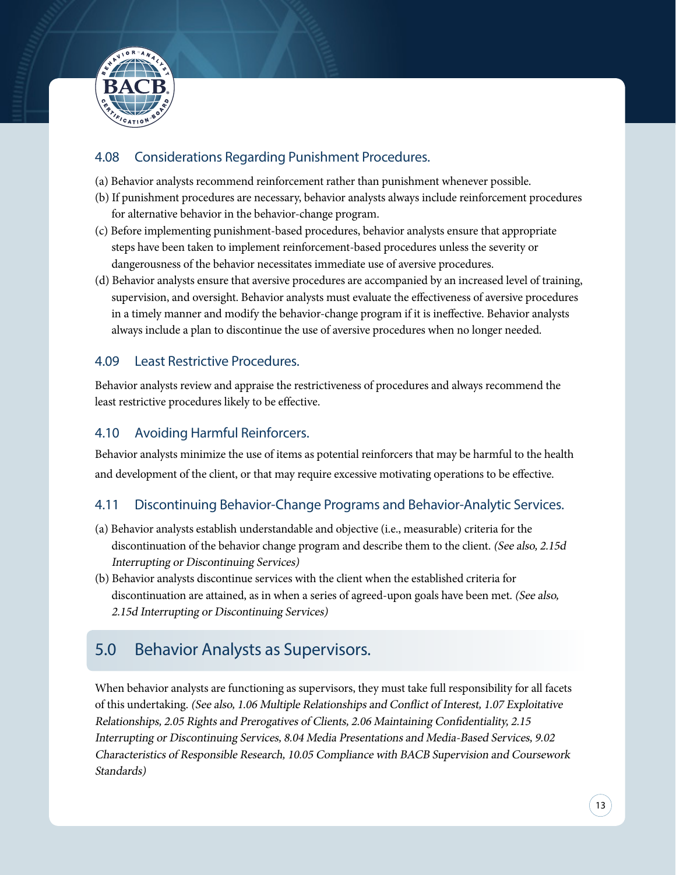

### 4.08 Considerations Regarding Punishment Procedures.

- (a) Behavior analysts recommend reinforcement rather than punishment whenever possible.
- (b) If punishment procedures are necessary, behavior analysts always include reinforcement procedures for alternative behavior in the behavior-change program.
- (c) Before implementing punishment-based procedures, behavior analysts ensure that appropriate steps have been taken to implement reinforcement-based procedures unless the severity or dangerousness of the behavior necessitates immediate use of aversive procedures.
- (d) Behavior analysts ensure that aversive procedures are accompanied by an increased level of training, supervision, and oversight. Behavior analysts must evaluate the effectiveness of aversive procedures in a timely manner and modify the behavior-change program if it is ineffective. Behavior analysts always include a plan to discontinue the use of aversive procedures when no longer needed.

#### 4.09 Least Restrictive Procedures.

Behavior analysts review and appraise the restrictiveness of procedures and always recommend the least restrictive procedures likely to be effective.

#### 4.10 Avoiding Harmful Reinforcers.

Behavior analysts minimize the use of items as potential reinforcers that may be harmful to the health and development of the client, or that may require excessive motivating operations to be effective.

### 4.11 Discontinuing Behavior-Change Programs and Behavior-Analytic Services.

- (a) Behavior analysts establish understandable and objective (i.e., measurable) criteria for the discontinuation of the behavior change program and describe them to the client. (See also, 2.15d) Interrupting or Discontinuing Services)
- (b) Behavior analysts discontinue services with the client when the established criteria for discontinuation are attained, as in when a series of agreed-upon goals have been met. (See also, 2.15d Interrupting or Discontinuing Services)

# 5.0 Behavior Analysts as Supervisors.

When behavior analysts are functioning as supervisors, they must take full responsibility for all facets of this undertaking. (See also, 1.06 Multiple Relationships and Conflict of Interest, 1.07 Exploitative Relationships, 2.05 Rights and Prerogatives of Clients, 2.06 Maintaining Confidentiality, 2.15 Interrupting or Discontinuing Services, 8.04 Media Presentations and Media-Based Services, 9.02 Characteristics of Responsible Research, 10.05 Compliance with BACB Supervision and Coursework Standards)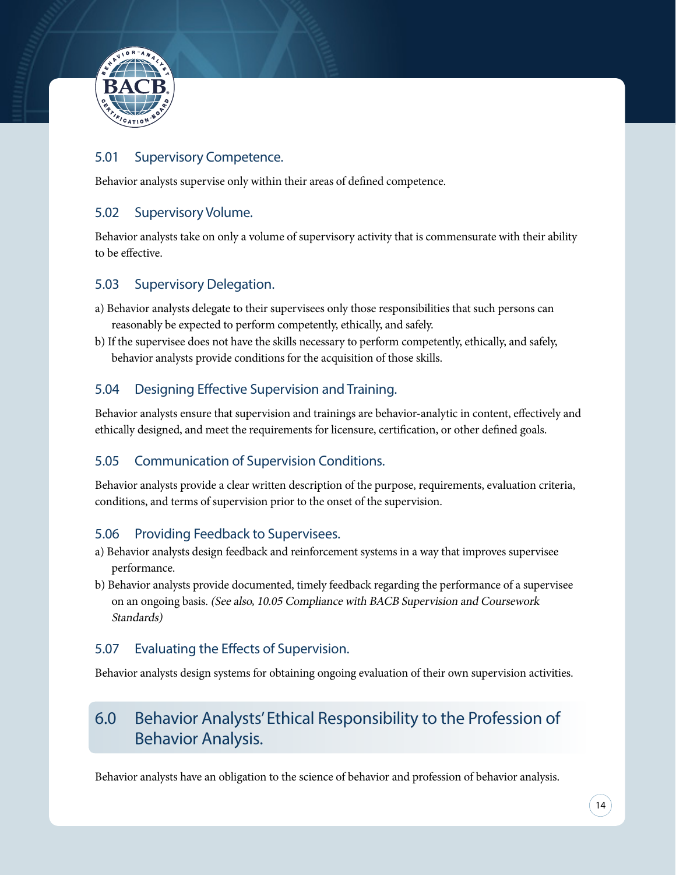

#### 5.01 Supervisory Competence.

Behavior analysts supervise only within their areas of defined competence.

#### 5.02 Supervisory Volume.

Behavior analysts take on only a volume of supervisory activity that is commensurate with their ability to be effective.

#### 5.03 Supervisory Delegation.

- a) Behavior analysts delegate to their supervisees only those responsibilities that such persons can reasonably be expected to perform competently, ethically, and safely.
- b) If the supervisee does not have the skills necessary to perform competently, ethically, and safely, behavior analysts provide conditions for the acquisition of those skills.

### 5.04 Designing Effective Supervision and Training.

Behavior analysts ensure that supervision and trainings are behavior-analytic in content, effectively and ethically designed, and meet the requirements for licensure, certification, or other defined goals.

### 5.05 Communication of Supervision Conditions.

Behavior analysts provide a clear written description of the purpose, requirements, evaluation criteria, conditions, and terms of supervision prior to the onset of the supervision.

#### 5.06 Providing Feedback to Supervisees.

- a) Behavior analysts design feedback and reinforcement systems in a way that improves supervisee performance.
- b) Behavior analysts provide documented, timely feedback regarding the performance of a supervisee on an ongoing basis. (See also, 10.05 Compliance with BACB Supervision and Coursework Standards)

#### 5.07 Evaluating the Effects of Supervision.

Behavior analysts design systems for obtaining ongoing evaluation of their own supervision activities.

# 6.0 Behavior Analysts' Ethical Responsibility to the Profession of Behavior Analysis.

Behavior analysts have an obligation to the science of behavior and profession of behavior analysis.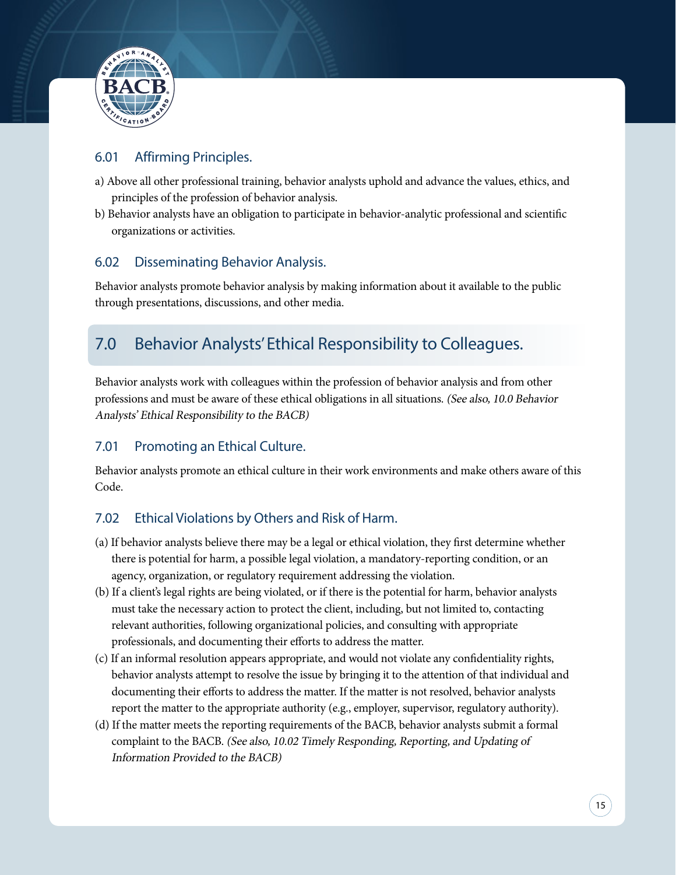

### 6.01 Affirming Principles.

- a) Above all other professional training, behavior analysts uphold and advance the values, ethics, and principles of the profession of behavior analysis.
- b) Behavior analysts have an obligation to participate in behavior-analytic professional and scientific organizations or activities.

#### 6.02 Disseminating Behavior Analysis.

Behavior analysts promote behavior analysis by making information about it available to the public through presentations, discussions, and other media.

# 7.0 Behavior Analysts' Ethical Responsibility to Colleagues.

Behavior analysts work with colleagues within the profession of behavior analysis and from other professions and must be aware of these ethical obligations in all situations. (See also, 10.0 Behavior Analysts' Ethical Responsibility to the BACB)

#### 7.01 Promoting an Ethical Culture.

Behavior analysts promote an ethical culture in their work environments and make others aware of this Code.

#### 7.02 Ethical Violations by Others and Risk of Harm.

- (a) If behavior analysts believe there may be a legal or ethical violation, they first determine whether there is potential for harm, a possible legal violation, a mandatory-reporting condition, or an agency, organization, or regulatory requirement addressing the violation.
- (b) If a client's legal rights are being violated, or if there is the potential for harm, behavior analysts must take the necessary action to protect the client, including, but not limited to, contacting relevant authorities, following organizational policies, and consulting with appropriate professionals, and documenting their efforts to address the matter.
- (c) If an informal resolution appears appropriate, and would not violate any confidentiality rights, behavior analysts attempt to resolve the issue by bringing it to the attention of that individual and documenting their efforts to address the matter. If the matter is not resolved, behavior analysts report the matter to the appropriate authority (e.g., employer, supervisor, regulatory authority).
- (d) If the matter meets the reporting requirements of the BACB, behavior analysts submit a formal complaint to the BACB. (See also, 10.02 Timely Responding, Reporting, and Updating of Information Provided to the BACB)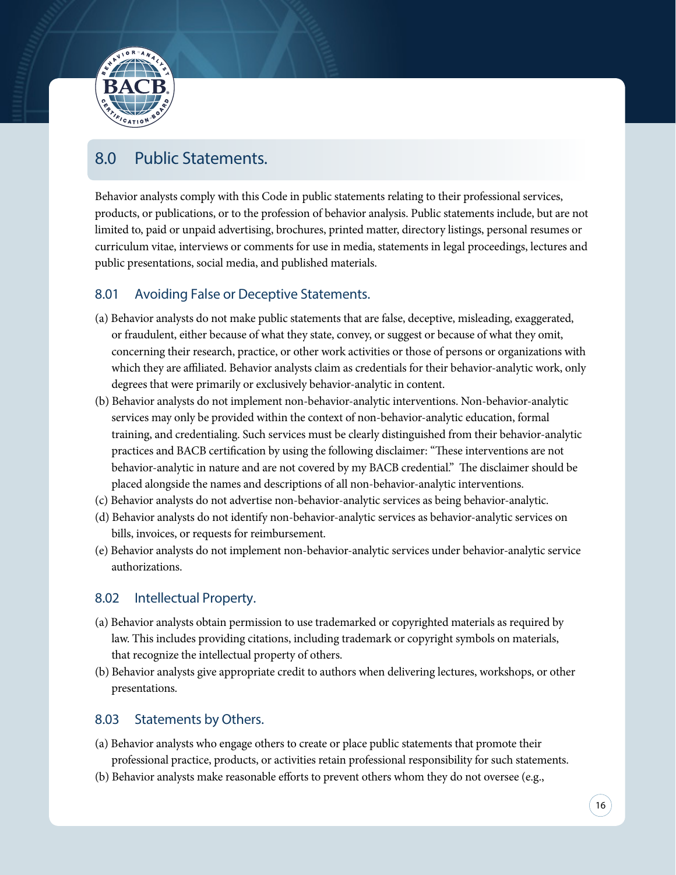

# 8.0 Public Statements.

Behavior analysts comply with this Code in public statements relating to their professional services, products, or publications, or to the profession of behavior analysis. Public statements include, but are not limited to, paid or unpaid advertising, brochures, printed matter, directory listings, personal resumes or curriculum vitae, interviews or comments for use in media, statements in legal proceedings, lectures and public presentations, social media, and published materials.

#### 8.01 Avoiding False or Deceptive Statements.

- (a) Behavior analysts do not make public statements that are false, deceptive, misleading, exaggerated, or fraudulent, either because of what they state, convey, or suggest or because of what they omit, concerning their research, practice, or other work activities or those of persons or organizations with which they are affiliated. Behavior analysts claim as credentials for their behavior-analytic work, only degrees that were primarily or exclusively behavior-analytic in content.
- (b) Behavior analysts do not implement non-behavior-analytic interventions. Non-behavior-analytic services may only be provided within the context of non-behavior-analytic education, formal training, and credentialing. Such services must be clearly distinguished from their behavior-analytic practices and BACB certification by using the following disclaimer: "These interventions are not behavior-analytic in nature and are not covered by my BACB credential." The disclaimer should be placed alongside the names and descriptions of all non-behavior-analytic interventions.
- (c) Behavior analysts do not advertise non-behavior-analytic services as being behavior-analytic.
- (d) Behavior analysts do not identify non-behavior-analytic services as behavior-analytic services on bills, invoices, or requests for reimbursement.
- (e) Behavior analysts do not implement non-behavior-analytic services under behavior-analytic service authorizations.

#### 8.02 Intellectual Property.

- (a) Behavior analysts obtain permission to use trademarked or copyrighted materials as required by law. This includes providing citations, including trademark or copyright symbols on materials, that recognize the intellectual property of others.
- (b) Behavior analysts give appropriate credit to authors when delivering lectures, workshops, or other presentations.

#### 8.03 Statements by Others.

- (a) Behavior analysts who engage others to create or place public statements that promote their professional practice, products, or activities retain professional responsibility for such statements.
- (b) Behavior analysts make reasonable efforts to prevent others whom they do not oversee (e.g.,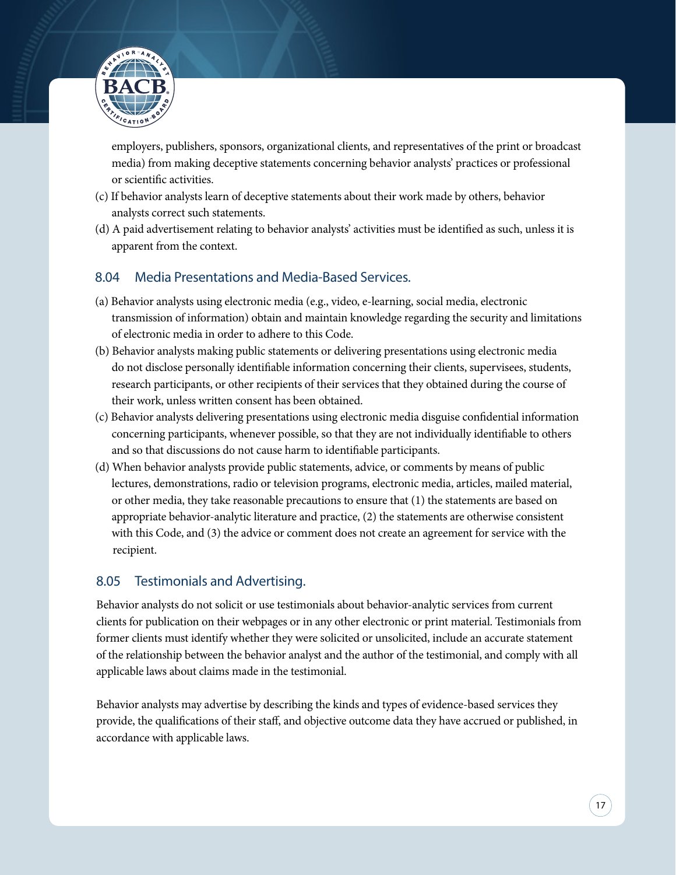

employers, publishers, sponsors, organizational clients, and representatives of the print or broadcast media) from making deceptive statements concerning behavior analysts' practices or professional or scientific activities.

- (c) If behavior analysts learn of deceptive statements about their work made by others, behavior analysts correct such statements.
- (d) A paid advertisement relating to behavior analysts' activities must be identified as such, unless it is apparent from the context.

#### 8.04 Media Presentations and Media-Based Services.

- (a) Behavior analysts using electronic media (e.g., video, e-learning, social media, electronic transmission of information) obtain and maintain knowledge regarding the security and limitations of electronic media in order to adhere to this Code.
- (b) Behavior analysts making public statements or delivering presentations using electronic media do not disclose personally identifiable information concerning their clients, supervisees, students, research participants, or other recipients of their services that they obtained during the course of their work, unless written consent has been obtained.
- (c) Behavior analysts delivering presentations using electronic media disguise confidential information concerning participants, whenever possible, so that they are not individually identifiable to others and so that discussions do not cause harm to identifiable participants.
- (d) When behavior analysts provide public statements, advice, or comments by means of public lectures, demonstrations, radio or television programs, electronic media, articles, mailed material, or other media, they take reasonable precautions to ensure that (1) the statements are based on appropriate behavior-analytic literature and practice, (2) the statements are otherwise consistent with this Code, and (3) the advice or comment does not create an agreement for service with the recipient.

#### 8.05 Testimonials and Advertising.

Behavior analysts do not solicit or use testimonials about behavior-analytic services from current clients for publication on their webpages or in any other electronic or print material. Testimonials from former clients must identify whether they were solicited or unsolicited, include an accurate statement of the relationship between the behavior analyst and the author of the testimonial, and comply with all applicable laws about claims made in the testimonial.

Behavior analysts may advertise by describing the kinds and types of evidence-based services they provide, the qualifications of their staff, and objective outcome data they have accrued or published, in accordance with applicable laws.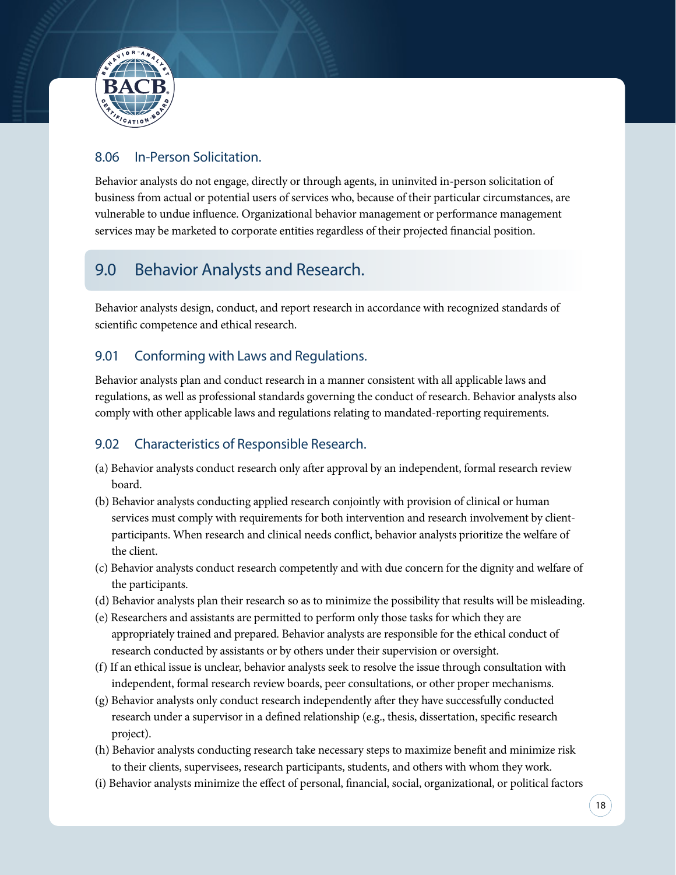

#### 8.06 In-Person Solicitation.

Behavior analysts do not engage, directly or through agents, in uninvited in-person solicitation of business from actual or potential users of services who, because of their particular circumstances, are vulnerable to undue influence. Organizational behavior management or performance management services may be marketed to corporate entities regardless of their projected financial position.

# 9.0 Behavior Analysts and Research.

Behavior analysts design, conduct, and report research in accordance with recognized standards of scientific competence and ethical research.

#### 9.01 Conforming with Laws and Regulations.

Behavior analysts plan and conduct research in a manner consistent with all applicable laws and regulations, as well as professional standards governing the conduct of research. Behavior analysts also comply with other applicable laws and regulations relating to mandated-reporting requirements.

### 9.02 Characteristics of Responsible Research.

- (a) Behavior analysts conduct research only after approval by an independent, formal research review board.
- (b) Behavior analysts conducting applied research conjointly with provision of clinical or human services must comply with requirements for both intervention and research involvement by clientparticipants. When research and clinical needs conflict, behavior analysts prioritize the welfare of the client.
- (c) Behavior analysts conduct research competently and with due concern for the dignity and welfare of the participants.
- (d) Behavior analysts plan their research so as to minimize the possibility that results will be misleading.
- (e) Researchers and assistants are permitted to perform only those tasks for which they are appropriately trained and prepared. Behavior analysts are responsible for the ethical conduct of research conducted by assistants or by others under their supervision or oversight.
- (f) If an ethical issue is unclear, behavior analysts seek to resolve the issue through consultation with independent, formal research review boards, peer consultations, or other proper mechanisms.
- (g) Behavior analysts only conduct research independently after they have successfully conducted research under a supervisor in a defined relationship (e.g., thesis, dissertation, specific research project).
- (h) Behavior analysts conducting research take necessary steps to maximize benefit and minimize risk to their clients, supervisees, research participants, students, and others with whom they work.
- (i) Behavior analysts minimize the effect of personal, financial, social, organizational, or political factors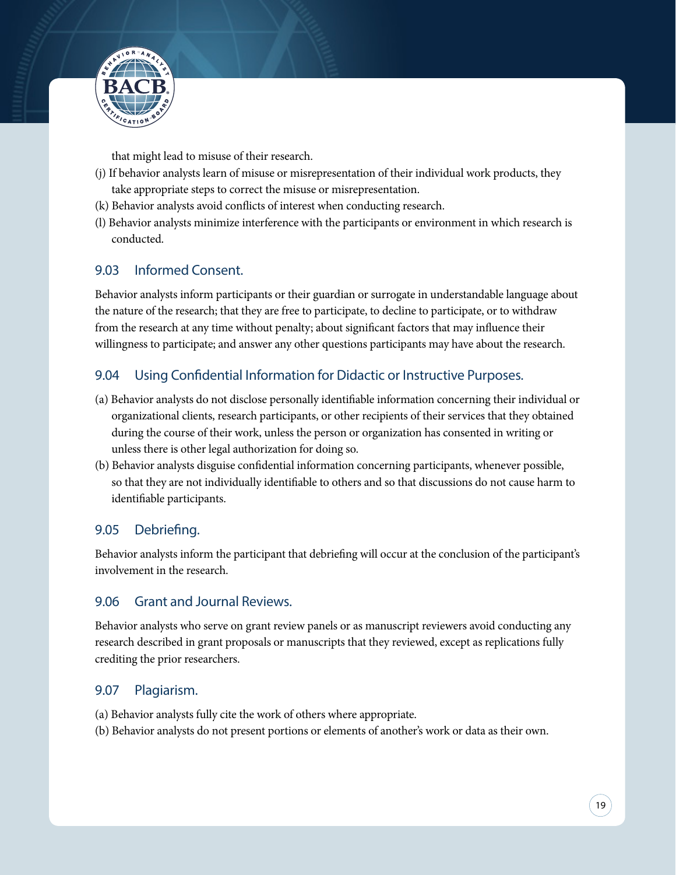

that might lead to misuse of their research.

- (j) If behavior analysts learn of misuse or misrepresentation of their individual work products, they take appropriate steps to correct the misuse or misrepresentation.
- (k) Behavior analysts avoid conflicts of interest when conducting research.
- (l) Behavior analysts minimize interference with the participants or environment in which research is conducted.

#### 9.03 Informed Consent.

Behavior analysts inform participants or their guardian or surrogate in understandable language about the nature of the research; that they are free to participate, to decline to participate, or to withdraw from the research at any time without penalty; about significant factors that may influence their willingness to participate; and answer any other questions participants may have about the research.

### 9.04 Using Confidential Information for Didactic or Instructive Purposes.

- (a) Behavior analysts do not disclose personally identifiable information concerning their individual or organizational clients, research participants, or other recipients of their services that they obtained during the course of their work, unless the person or organization has consented in writing or unless there is other legal authorization for doing so.
- (b) Behavior analysts disguise confidential information concerning participants, whenever possible, so that they are not individually identifiable to others and so that discussions do not cause harm to identifiable participants.

#### 9.05 Debriefing.

Behavior analysts inform the participant that debriefing will occur at the conclusion of the participant's involvement in the research.

#### 9.06 Grant and Journal Reviews.

Behavior analysts who serve on grant review panels or as manuscript reviewers avoid conducting any research described in grant proposals or manuscripts that they reviewed, except as replications fully crediting the prior researchers.

#### 9.07 Plagiarism.

- (a) Behavior analysts fully cite the work of others where appropriate.
- (b) Behavior analysts do not present portions or elements of another's work or data as their own.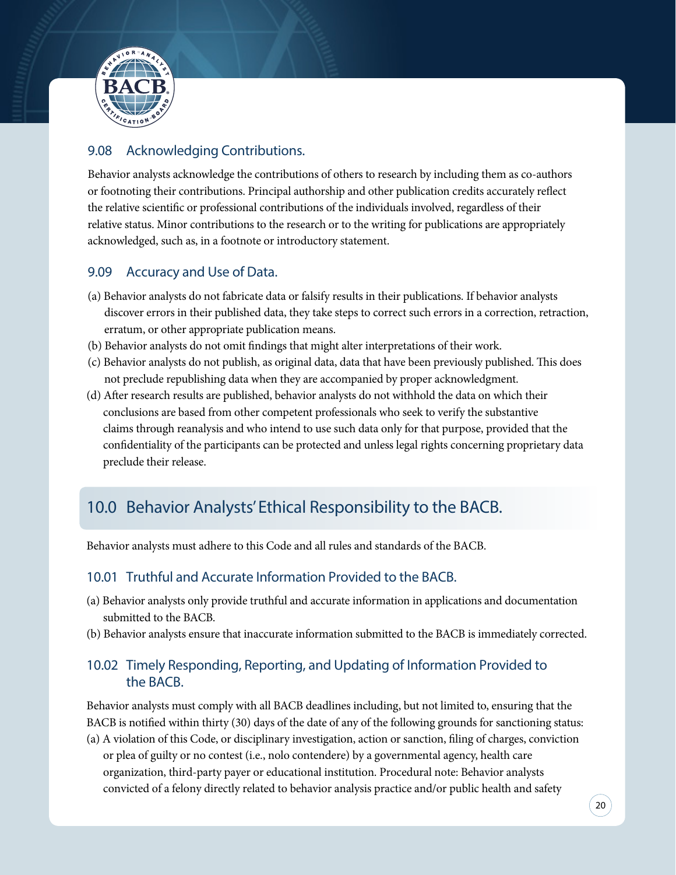

#### 9.08 Acknowledging Contributions.

Behavior analysts acknowledge the contributions of others to research by including them as co-authors or footnoting their contributions. Principal authorship and other publication credits accurately reflect the relative scientific or professional contributions of the individuals involved, regardless of their relative status. Minor contributions to the research or to the writing for publications are appropriately acknowledged, such as, in a footnote or introductory statement.

#### 9.09 Accuracy and Use of Data.

- (a) Behavior analysts do not fabricate data or falsify results in their publications. If behavior analysts discover errors in their published data, they take steps to correct such errors in a correction, retraction, erratum, or other appropriate publication means.
- (b) Behavior analysts do not omit findings that might alter interpretations of their work.
- (c) Behavior analysts do not publish, as original data, data that have been previously published. This does not preclude republishing data when they are accompanied by proper acknowledgment.
- (d) After research results are published, behavior analysts do not withhold the data on which their conclusions are based from other competent professionals who seek to verify the substantive claims through reanalysis and who intend to use such data only for that purpose, provided that the confidentiality of the participants can be protected and unless legal rights concerning proprietary data preclude their release.

# 10.0 Behavior Analysts' Ethical Responsibility to the BACB.

Behavior analysts must adhere to this Code and all rules and standards of the BACB.

#### 10.01 Truthful and Accurate Information Provided to the BACB.

- (a) Behavior analysts only provide truthful and accurate information in applications and documentation submitted to the BACB.
- (b) Behavior analysts ensure that inaccurate information submitted to the BACB is immediately corrected.

#### 10.02 Timely Responding, Reporting, and Updating of Information Provided to the BACB.

Behavior analysts must comply with all BACB deadlines including, but not limited to, ensuring that the BACB is notified within thirty (30) days of the date of any of the following grounds for sanctioning status:

(a) A violation of this Code, or disciplinary investigation, action or sanction, filing of charges, conviction or plea of guilty or no contest (i.e., nolo contendere) by a governmental agency, health care organization, third-party payer or educational institution. Procedural note: Behavior analysts convicted of a felony directly related to behavior analysis practice and/or public health and safety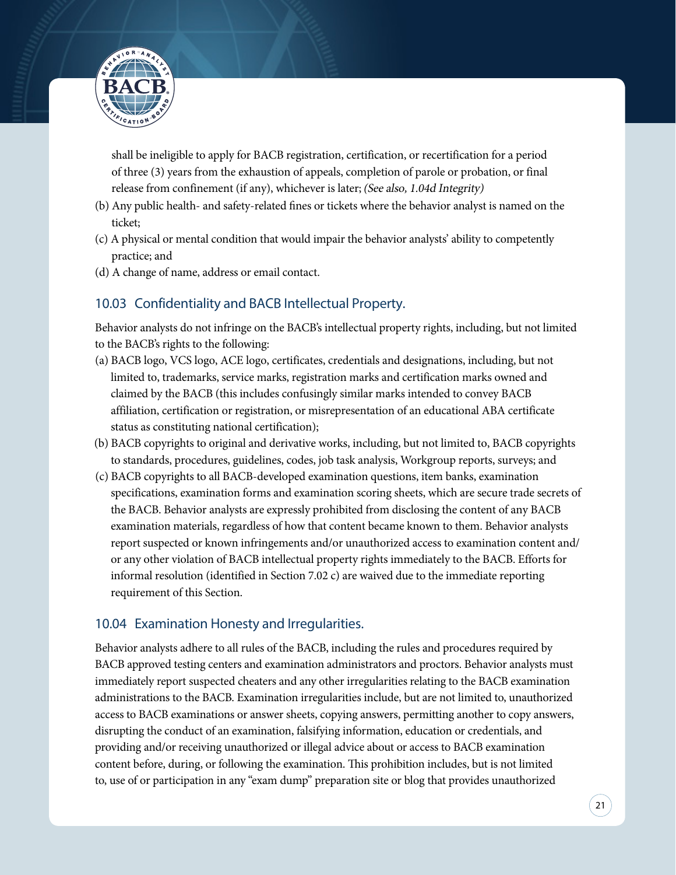

shall be ineligible to apply for BACB registration, certification, or recertification for a period of three (3) years from the exhaustion of appeals, completion of parole or probation, or final release from confinement (if any), whichever is later; (See also, 1.04d Integrity)

- (b) Any public health- and safety-related fines or tickets where the behavior analyst is named on the ticket;
- (c) A physical or mental condition that would impair the behavior analysts' ability to competently practice; and
- (d) A change of name, address or email contact.

#### 10.03 Confidentiality and BACB Intellectual Property.

Behavior analysts do not infringe on the BACB's intellectual property rights, including, but not limited to the BACB's rights to the following:

- (a) BACB logo, VCS logo, ACE logo, certificates, credentials and designations, including, but not limited to, trademarks, service marks, registration marks and certification marks owned and claimed by the BACB (this includes confusingly similar marks intended to convey BACB affiliation, certification or registration, or misrepresentation of an educational ABA certificate status as constituting national certification);
- (b) BACB copyrights to original and derivative works, including, but not limited to, BACB copyrights to standards, procedures, guidelines, codes, job task analysis, Workgroup reports, surveys; and
- (c) BACB copyrights to all BACB-developed examination questions, item banks, examination specifications, examination forms and examination scoring sheets, which are secure trade secrets of the BACB. Behavior analysts are expressly prohibited from disclosing the content of any BACB examination materials, regardless of how that content became known to them. Behavior analysts report suspected or known infringements and/or unauthorized access to examination content and/ or any other violation of BACB intellectual property rights immediately to the BACB. Efforts for informal resolution (identified in Section 7.02 c) are waived due to the immediate reporting requirement of this Section.

#### 10.04 Examination Honesty and Irregularities.

Behavior analysts adhere to all rules of the BACB, including the rules and procedures required by BACB approved testing centers and examination administrators and proctors. Behavior analysts must immediately report suspected cheaters and any other irregularities relating to the BACB examination administrations to the BACB. Examination irregularities include, but are not limited to, unauthorized access to BACB examinations or answer sheets, copying answers, permitting another to copy answers, disrupting the conduct of an examination, falsifying information, education or credentials, and providing and/or receiving unauthorized or illegal advice about or access to BACB examination content before, during, or following the examination. This prohibition includes, but is not limited to, use of or participation in any "exam dump" preparation site or blog that provides unauthorized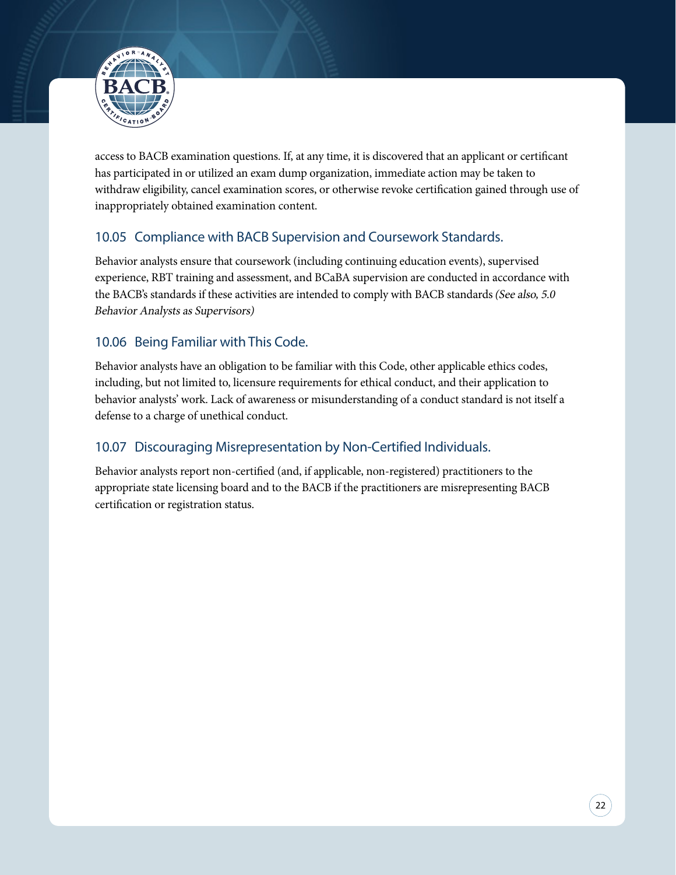

access to BACB examination questions. If, at any time, it is discovered that an applicant or certificant has participated in or utilized an exam dump organization, immediate action may be taken to withdraw eligibility, cancel examination scores, or otherwise revoke certification gained through use of inappropriately obtained examination content.

#### 10.05 Compliance with BACB Supervision and Coursework Standards.

Behavior analysts ensure that coursework (including continuing education events), supervised experience, RBT training and assessment, and BCaBA supervision are conducted in accordance with the BACB's standards if these activities are intended to comply with BACB standards (See also, 5.0 Behavior Analysts as Supervisors)

#### 10.06 Being Familiar with This Code.

Behavior analysts have an obligation to be familiar with this Code, other applicable ethics codes, including, but not limited to, licensure requirements for ethical conduct, and their application to behavior analysts' work. Lack of awareness or misunderstanding of a conduct standard is not itself a defense to a charge of unethical conduct.

#### 10.07 Discouraging Misrepresentation by Non-Certified Individuals.

Behavior analysts report non-certified (and, if applicable, non-registered) practitioners to the appropriate state licensing board and to the BACB if the practitioners are misrepresenting BACB certification or registration status.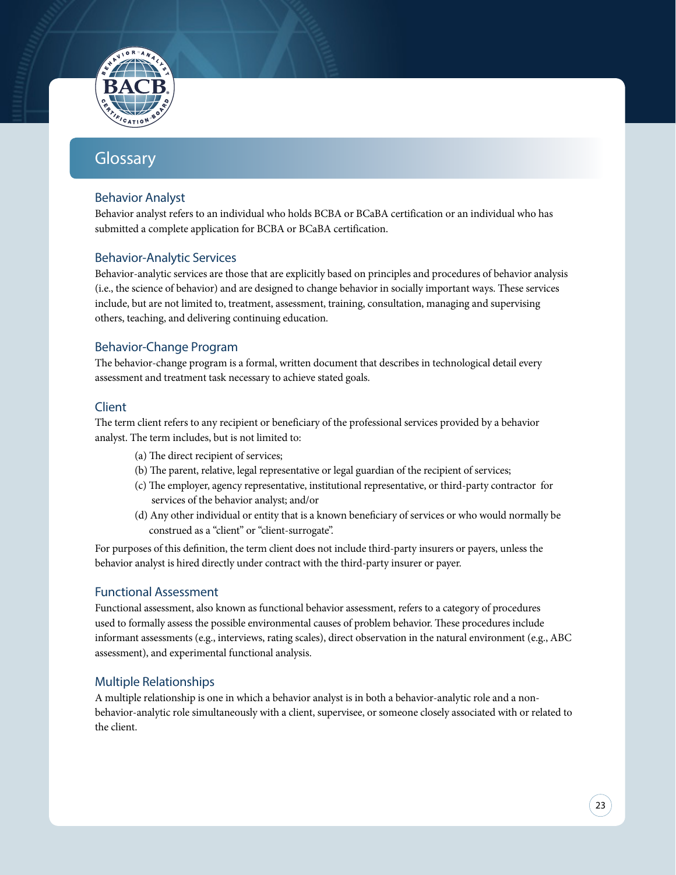

# **Glossary**

#### Behavior Analyst

Behavior analyst refers to an individual who holds BCBA or BCaBA certification or an individual who has submitted a complete application for BCBA or BCaBA certification.

#### Behavior-Analytic Services

Behavior-analytic services are those that are explicitly based on principles and procedures of behavior analysis (i.e., the science of behavior) and are designed to change behavior in socially important ways. These services include, but are not limited to, treatment, assessment, training, consultation, managing and supervising others, teaching, and delivering continuing education.

#### Behavior-Change Program

The behavior-change program is a formal, written document that describes in technological detail every assessment and treatment task necessary to achieve stated goals.

#### Client

The term client refers to any recipient or beneficiary of the professional services provided by a behavior analyst. The term includes, but is not limited to:

- (a) The direct recipient of services;
- (b) The parent, relative, legal representative or legal guardian of the recipient of services;
- (c) The employer, agency representative, institutional representative, or third-party contractor for services of the behavior analyst; and/or
- (d) Any other individual or entity that is a known beneficiary of services or who would normally be construed as a "client" or "client-surrogate".

For purposes of this definition, the term client does not include third-party insurers or payers, unless the behavior analyst is hired directly under contract with the third-party insurer or payer.

#### Functional Assessment

Functional assessment, also known as functional behavior assessment, refers to a category of procedures used to formally assess the possible environmental causes of problem behavior. These procedures include informant assessments (e.g., interviews, rating scales), direct observation in the natural environment (e.g., ABC assessment), and experimental functional analysis.

#### Multiple Relationships

A multiple relationship is one in which a behavior analyst is in both a behavior-analytic role and a nonbehavior-analytic role simultaneously with a client, supervisee, or someone closely associated with or related to the client.